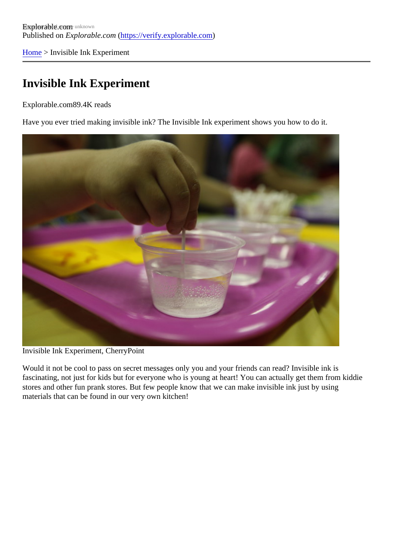[Home](https://verify.explorable.com/)> Invisible Ink Experiment

### Invisible Ink Experiment

Explorable.cor89.4K reads

Have you ever tried making invisible ink? The Invisible Ink experiment shows you how to do it.

Invisible Ink Experiment, CherryPoint

Would it not be cool to pass on secret messages only you and your friends can read? Invisible ink is fascinating, not just for kids but for everyone who is young at heart! You can actually get them from kiddie stores and other fun prank stores. But few people know that we can make invisible ink just by using materials that can be found in our very own kitchen!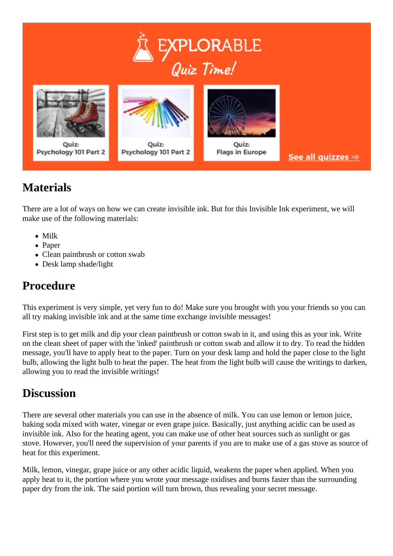



# **Materials**

There are a lot of ways on how we can create invisible ink. But for this Invisible Ink experiment, we will make use of the following materials:

- Milk
- Paper
- Clean paintbrush or cotton swab
- Desk lamp shade/light

## **Procedure**

This experiment is very simple, yet very fun to do! Make sure you brought with you your friends so you can all try making invisible ink and at the same time exchange invisible messages!

First step is to get milk and dip your clean paintbrush or cotton swab in it, and using this as your ink. Write on the clean sheet of paper with the 'inked' paintbrush or cotton swab and allow it to dry. To read the hidden message, you'll have to apply heat to the paper. Turn on your desk lamp and hold the paper close to the light bulb, allowing the light bulb to heat the paper. The heat from the light bulb will cause the writings to darken, allowing you to read the invisible writings!

#### **Discussion**

There are several other materials you can use in the absence of milk. You can use lemon or lemon juice, baking soda mixed with water, vinegar or even grape juice. Basically, just anything acidic can be used as invisible ink. Also for the heating agent, you can make use of other heat sources such as sunlight or gas stove. However, you'll need the supervision of your parents if you are to make use of a gas stove as source of heat for this experiment.

Milk, lemon, vinegar, grape juice or any other acidic liquid, weakens the paper when applied. When you apply heat to it, the portion where you wrote your message oxidises and burns faster than the surrounding paper dry from the ink. The said portion will turn brown, thus revealing your secret message.